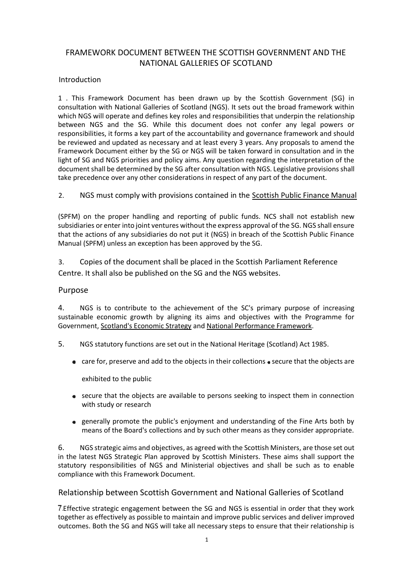# FRAMEWORK DOCUMENT BETWEEN THE SCOTTISH GOVERNMENT AND THE NATIONAL GALLERIES OF SCOTLAND

## Introduction

1 . This Framework Document has been drawn up by the Scottish Government (SG) in consultation with National Galleries of Scotland (NGS). It sets out the broad framework within which NGS will operate and defines key roles and responsibilities that underpin the relationship between NGS and the SG. While this document does not confer any legal powers or responsibilities, it forms a key part of the accountability and governance framework and should be reviewed and updated as necessary and at least every 3 years. Any proposals to amend the Framework Document either by the SG or NGS will be taken forward in consultation and in the light of SG and NGS priorities and policy aims. Any question regarding the interpretation of the document shall be determined by the SG after consultation with NGS. Legislative provisions shall take precedence over any other considerations in respect of any part of the document.

2. NGS must comply with provisions contained in the Scottish Public Finance Manual

(SPFM) on the proper handling and reporting of public funds. NCS shall not establish new subsidiaries or enter into joint ventures without the express approval of the SG. NGS shall ensure that the actions of any subsidiaries do not put it (NGS) in breach of the Scottish Public Finance Manual (SPFM) unless an exception has been approved by the SG.

3. Copies of the document shall be placed in the Scottish Parliament Reference Centre. It shall also be published on the SG and the NGS websites.

### Purpose

4. NGS is to contribute to the achievement of the SC's primary purpose of increasing sustainable economic growth by aligning its aims and objectives with the Programme for Government, Scotland's Economic Strategy and National Performance Framework.

- 5. NGS statutory functions are set out in the National Heritage (Scotland) Act 1985.
	- $\bullet$  care for, preserve and add to the objects in their collections  $\bullet$  secure that the objects are

exhibited to the public

- secure that the objects are available to persons seeking to inspect them in connection with study or research
- generally promote the public's enjoyment and understanding of the Fine Arts both by means of the Board's collections and by such other means as they consider appropriate.

6. NGS strategic aims and objectives, as agreed with the Scottish Ministers, are those set out in the latest NGS Strategic Plan approved by Scottish Ministers. These aims shall support the statutory responsibilities of NGS and Ministerial objectives and shall be such as to enable compliance with this Framework Document.

## Relationship between Scottish Government and National Galleries of Scotland

Effective strategic engagement between the SG and NGS is essential in order that they work together as effectively as possible to maintain and improve public services and deliver improved outcomes. Both the SG and NGS will take all necessary steps to ensure that their relationship is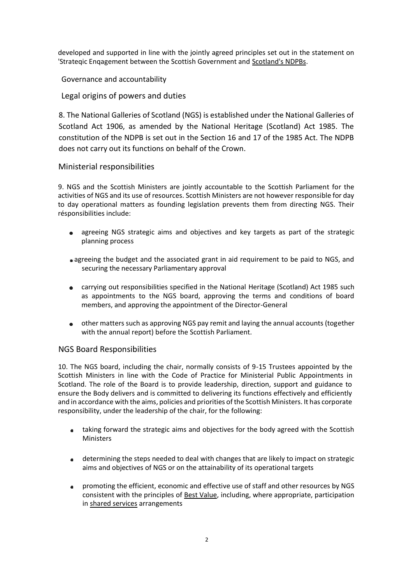developed and supported in line with the jointly agreed principles set out in the statement on 'Strateqic Enqagement between the Scottish Government and Scotland's NDPBs.

Governance and accountability

Legal origins of powers and duties

8. The National Galleries of Scotland (NGS) is established under the National Galleries of Scotland Act 1906, as amended by the National Heritage (Scotland) Act 1985. The constitution of the NDPB is set out in the Section 16 and 17 of the 1985 Act. The NDPB does not carry out its functions on behalf of the Crown.

# Ministerial responsibilities

9. NGS and the Scottish Ministers are jointly accountable to the Scottish Parliament for the activities of NGS and its use of resources. Scottish Ministers are not however responsible for day to day operational matters as founding legislation prevents them from directing NGS. Their résponsibilities include:

- agreeing NGS strategic aims and objectives and key targets as part of the strategic  $\bullet$ planning process
- agreeing the budget and the associated grant in aid requirement to be paid to NGS, and securing the necessary Parliamentary approval
- carrying out responsibilities specified in the National Heritage (Scotland) Act 1985 such as appointments to the NGS board, approving the terms and conditions of board members, and approving the appointment of the Director-General
- other matters such as approving NGS pay remit and laying the annual accounts (together with the annual report) before the Scottish Parliament.

## NGS Board Responsibilities

10. The NGS board, including the chair, normally consists of 9-15 Trustees appointed by the Scottish Ministers in line with the Code of Practice for Ministerial Public Appointments in Scotland. The role of the Board is to provide leadership, direction, support and guidance to ensure the Body delivers and is committed to delivering its functions effectively and efficiently and in accordance with the aims, policies and priorities of the Scottish Ministers. It has corporate responsibility, under the leadership of the chair, for the following:

- taking forward the strategic aims and objectives for the body agreed with the Scottish **Ministers**
- determining the steps needed to deal with changes that are likely to impact on strategic aims and objectives of NGS or on the attainability of its operational targets
- promoting the efficient, economic and effective use of staff and other resources by NGS consistent with the principles of Best Value, including, where appropriate, participation in shared services arrangements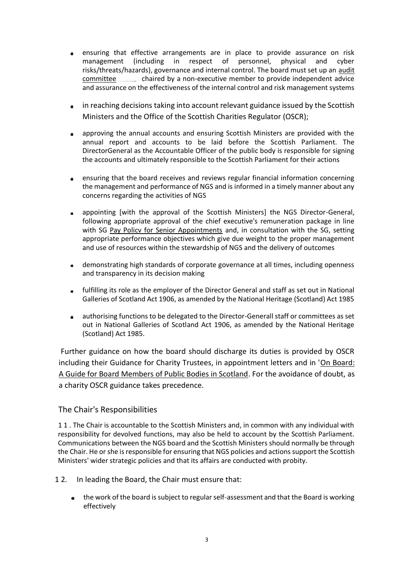- ensuring that effective arrangements are in place to provide assurance on risk management (including in respect of personnel, physical and cyber risks/threats/hazards), governance and internal control. The board must set up an audit committee chaired by a non-executive member to provide independent advice and assurance on the effectiveness of the internal control and risk management systems
- in reaching decisions taking into account relevant guidance issued by the Scottish Ministers and the Office of the Scottish Charities Regulator (OSCR);
- approving the annual accounts and ensuring Scottish Ministers are provided with the annual report and accounts to be laid before the Scottish Parliament. The DirectorGeneral as the Accountable Officer of the public body is responsible for signing the accounts and ultimately responsible to the Scottish Parliament for their actions
- ensuring that the board receives and reviews regular financial information concerning the management and performance of NGS and is informed in a timely manner about any concerns regarding the activities of NGS
- appointing [with the approval of the Scottish Ministers] the NGS Director-General, following appropriate approval of the chief executive's remuneration package in line with SG Pay Policv for Senior Appointments and, in consultation with the SG, setting appropriate performance objectives which give due weight to the proper management and use of resources within the stewardship of NGS and the delivery of outcomes
- demonstrating high standards of corporate governance at all times, including openness  $\bullet$ and transparency in its decision making
- fulfilling its role as the employer of the Director General and staff as set out in National Galleries of Scotland Act 1906, as amended by the National Heritage (Scotland) Act 1985
- authorising functions to be delegated to the Director-Generall staff or committees as set out in National Galleries of Scotland Act 1906, as amended by the National Heritage (Scotland) Act 1985.

Further guidance on how the board should discharge its duties is provided by OSCR including their Guidance for Charity Trustees, in appointment letters and in 'On Board: A Guide for Board Members of Public Bodies in Scotland. For the avoidance of doubt, as a charity OSCR guidance takes precedence.

# The Chair's Responsibilities

1 1 . The Chair is accountable to the Scottish Ministers and, in common with any individual with responsibility for devolved functions, may also be held to account by the Scottish Parliament. Communications between the NGS board and the Scottish Ministers should normally be through the Chair. He or she is responsible for ensuring that NGS policies and actions support the Scottish Ministers' wider strategic policies and that its affairs are conducted with probity.

- 1 2. In leading the Board, the Chair must ensure that:
	- the work of the board is subject to regular self-assessment and that the Board is working effectively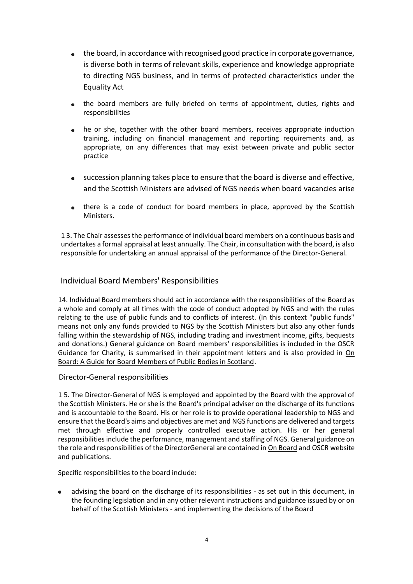- the board, in accordance with recognised good practice in corporate governance, is diverse both in terms of relevant skills, experience and knowledge appropriate to directing NGS business, and in terms of protected characteristics under the Equality Act
- the board members are fully briefed on terms of appointment, duties, rights and responsibilities
- he or she, together with the other board members, receives appropriate induction training, including on financial management and reporting requirements and, as appropriate, on any differences that may exist between private and public sector practice
- succession planning takes place to ensure that the board is diverse and effective, and the Scottish Ministers are advised of NGS needs when board vacancies arise
- there is a code of conduct for board members in place, approved by the Scottish Ministers.

1 3. The Chair assesses the performance of individual board members on a continuous basis and undertakes a formal appraisal at least annually. The Chair, in consultation with the board, is also responsible for undertaking an annual appraisal of the performance of the Director-General.

# Individual Board Members' Responsibilities

14. Individual Board members should act in accordance with the responsibilities of the Board as a whole and comply at all times with the code of conduct adopted by NGS and with the rules relating to the use of public funds and to conflicts of interest. (In this context "public funds" means not only any funds provided to NGS by the Scottish Ministers but also any other funds falling within the stewardship of NGS, including trading and investment income, gifts, bequests and donations.) General guidance on Board members' responsibilities is included in the OSCR Guidance for Charity, is summarised in their appointment letters and is also provided in On Board: A Guide for Board Members of Public Bodies in Scotland.

Director-General responsibilities

1 5. The Director-General of NGS is employed and appointed by the Board with the approval of the Scottish Ministers. He or she is the Board's principal adviser on the discharge of its functions and is accountable to the Board. His or her role is to provide operational leadership to NGS and ensure that the Board's aims and objectives are met and NGS functions are delivered and targets met through effective and properly controlled executive action. His or her general responsibilities include the performance, management and staffing of NGS. General guidance on the role and responsibilities of the DirectorGeneral are contained in On Board and OSCR website and publications.

Specific responsibilities to the board include:

advising the board on the discharge of its responsibilities - as set out in this document, in the founding legislation and in any other relevant instructions and guidance issued by or on behalf of the Scottish Ministers - and implementing the decisions of the Board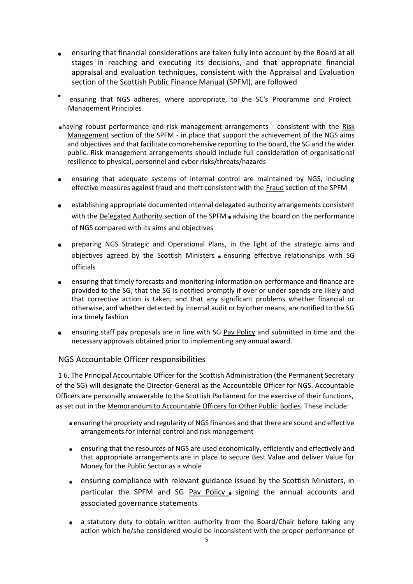- ensuring that financial considerations are taken fully into account by the Board at all stages in reaching and executing its decisions, and that appropriate financial appraisal and evaluation techniques, consistent with the Appraisal and Evaluation section of the Scottish Public Finance Manual (SPFM), are followed
- ensuring that NGS adheres, where appropriate, to the SC's Programme and Proiect Manaqement Principles
- having robust performance and risk management arrangements consistent with the Risk Management section of the SPFM - in place that support the achievement of the NGS aims and objectives and that facilitate comprehensive reporting to the board, the SG and the wider public. Risk management arrangements should include full consideration of organisational resilience to physical, personnel and cyber risks/threats/hazards
- ensuring that adequate systems of internal control are maintained by NGS, including effective measures against fraud and theft consistent with the Fraud section of the SPFM
- establishing appropriate documented internal delegated authority arrangements consistent with the De'egated Authority section of the SPFM advising the board on the performance of NGS compared with its aims and objectives
- preparing NGS Strategic and Operational Plans, in the light of the strategic aims and objectives agreed by the Scottish Ministers ensuring effective relationships with SG officials
- ensuring that timely forecasts and monitoring information on performance and finance are provided to the SG; that the SG is notified promptly if over or under spends are likely and that corrective action is taken; and that any significant problems whether financial or otherwise, and whether detected by internal audit or by other means, are notified to the SG in a timely fashion
- ensuring staff pay proposals are in line with SG Pav Policy and submitted in time and the necessary approvals obtained prior to implementing any annual award.

# NGS Accountable Officer responsibilities

1 6. The Principal Accountable Officer for the Scottish Administration (the Permanent Secretary of the SG) will designate the Director-General as the Accountable Officer for NGS. Accountable Officers are personally answerable to the Scottish Parliament for the exercise of their functions, as set out in the Memorandum to Accountable Officers for Other Public Bodies. These include:

- ensuring the propriety and regularity of NGS finances and that there are sound and effective arrangements for internal control and risk management
- ensuring that the resources of NGS are used economically, efficiently and effectively and  $\bullet$ that appropriate arrangements are in place to secure Best Value and deliver Value for Money for the Public Sector as a whole
- ensuring compliance with relevant guidance issued by the Scottish Ministers, in particular the SPFM and SG Pav Policv . signing the annual accounts and associated governance statements
- a statutory duty to obtain written authority from the Board/Chair before taking any action which he/she considered would be inconsistent with the proper performance of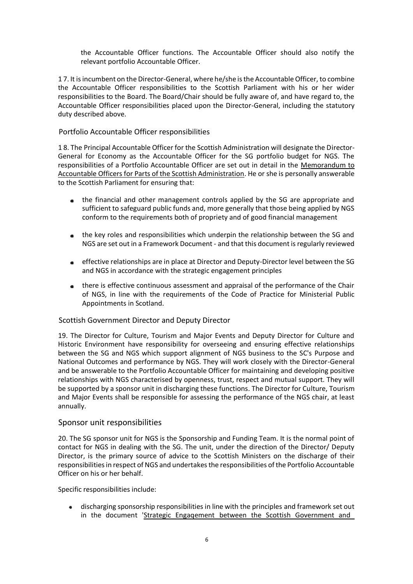the Accountable Officer functions. The Accountable Officer should also notify the relevant portfolio Accountable Officer.

1 7. It is incumbent on the Director-General, where he/she is the Accountable Officer, to combine the Accountable Officer responsibilities to the Scottish Parliament with his or her wider responsibilities to the Board. The Board/Chair should be fully aware of, and have regard to, the Accountable Officer responsibilities placed upon the Director-General, including the statutory duty described above.

### Portfolio Accountable Officer responsibilities

1 8. The Principal Accountable Officer for the Scottish Administration will designate the Director-General for Economy as the Accountable Officer for the SG portfolio budget for NGS. The responsibilities of a Portfolio Accountable Officer are set out in detail in the Memorandum to Accountable Officers for Parts of the Scottish Administration. He or she is personally answerable to the Scottish Parliament for ensuring that:

- the financial and other management controls applied by the SG are appropriate and sufficient to safeguard public funds and, more generally that those being applied by NGS conform to the requirements both of propriety and of good financial management
- the key roles and responsibilities which underpin the relationship between the SG and  $\bullet$ NGS are set out in a Framework Document - and that this document is regularly reviewed
- effective relationships are in place at Director and Deputy-Director level between the SG and NGS in accordance with the strategic engagement principles
- there is effective continuous assessment and appraisal of the performance of the Chair of NGS, in line with the requirements of the Code of Practice for Ministerial Public Appointments in Scotland.

#### Scottish Government Director and Deputy Director

19. The Director for Culture, Tourism and Major Events and Deputy Director for Culture and Historic Environment have responsibility for overseeing and ensuring effective relationships between the SG and NGS which support alignment of NGS business to the SC's Purpose and National Outcomes and performance by NGS. They will work closely with the Director-General and be answerable to the Portfolio Accountable Officer for maintaining and developing positive relationships with NGS characterised by openness, trust, respect and mutual support. They will be supported by a sponsor unit in discharging these functions. The Director for Culture, Tourism and Major Events shall be responsible for assessing the performance of the NGS chair, at least annually.

#### Sponsor unit responsibilities

20. The SG sponsor unit for NGS is the Sponsorship and Funding Team. It is the normal point of contact for NGS in dealing with the SG. The unit, under the direction of the Director/ Deputy Director, is the primary source of advice to the Scottish Ministers on the discharge of their responsibilities in respect of NGS and undertakes the responsibilities of the Portfolio Accountable Officer on his or her behalf.

Specific responsibilities include:

discharging sponsorship responsibilities in line with the principles and framework set out  $\bullet$ in the document 'Strategic Engaqement between the Scottish Government and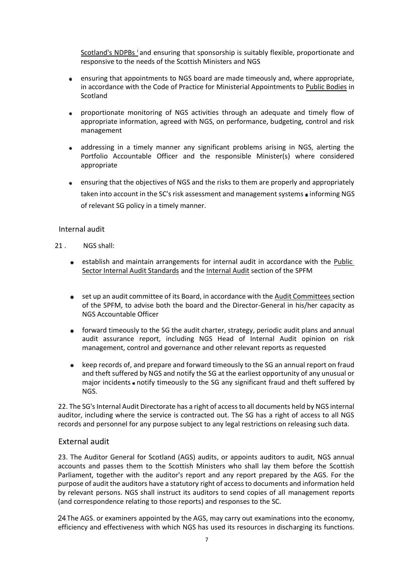Scotland's NDPBs i and ensuring that sponsorship is suitably flexible, proportionate and responsive to the needs of the Scottish Ministers and NGS

- ensuring that appointments to NGS board are made timeously and, where appropriate,  $\bullet$ in accordance with the Code of Practice for Ministerial Appointments to Public Bodies in **Scotland**
- proportionate monitoring of NGS activities through an adequate and timely flow of  $\bullet$ appropriate information, agreed with NGS, on performance, budgeting, control and risk management
- addressing in a timely manner any significant problems arising in NGS, alerting the Portfolio Accountable Officer and the responsible Minister(s) where considered appropriate
- ensuring that the objectives of NGS and the risks to them are properly and appropriately  $\bullet$ taken into account in the SC's risk assessment and management systems • informing NGS of relevant SG policy in a timely manner.

### Internal audit

- 21 . NGS shall:
	- establish and maintain arrangements for internal audit in accordance with the Public Sector Internal Audit Standards and the Internal Audit section of the SPFM
	- set up an audit committee of its Board, in accordance with the Audit Committees section of the SPFM, to advise both the board and the Director-General in his/her capacity as NGS Accountable Officer
	- forward timeously to the SG the audit charter, strategy, periodic audit plans and annual audit assurance report, including NGS Head of Internal Audit opinion on risk management, control and governance and other relevant reports as requested
	- keep records of, and prepare and forward timeously to the SG an annual report on fraud and theft suffered by NGS and notify the SG at the earliest opportunity of any unusual or major incidents • notify timeously to the SG any significant fraud and theft suffered by NGS.

22. The SG's Internal Audit Directorate has a right of access to all documents held by NGS internal auditor, including where the service is contracted out. The SG has a right of access to all NGS records and personnel for any purpose subject to any legal restrictions on releasing such data.

## External audit

23. The Auditor General for Scotland (AGS) audits, or appoints auditors to audit, NGS annual accounts and passes them to the Scottish Ministers who shall lay them before the Scottish Parliament, together with the auditor's report and any report prepared by the AGS. For the purpose of audit the auditors have a statutory right of access to documents and information held by relevant persons. NGS shall instruct its auditors to send copies of all management reports (and correspondence relating to those reports) and responses to the SC.

24. The AGS. or examiners appointed by the AGS, may carry out examinations into the economy, efficiency and effectiveness with which NGS has used its resources in discharging its functions.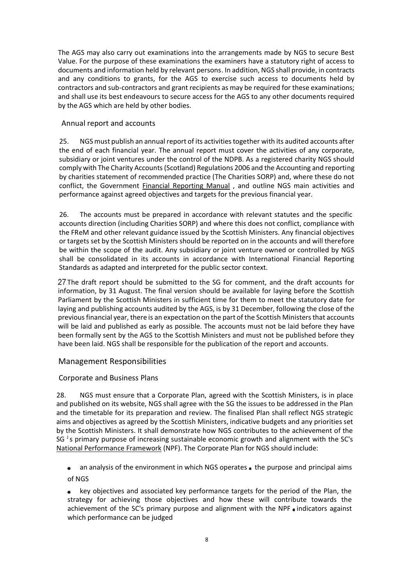The AGS may also carry out examinations into the arrangements made by NGS to secure Best Value. For the purpose of these examinations the examiners have a statutory right of access to documents and information held by relevant persons. In addition, NGS shall provide, in contracts and any conditions to grants, for the AGS to exercise such access to documents held by contractors and sub-contractors and grant recipients as may be required for these examinations; and shall use its best endeavours to secure access for the AGS to any other documents required by the AGS which are held by other bodies.

### Annual report and accounts

25. NGS must publish an annual report of its activities together with its audited accounts after the end of each financial year. The annual report must cover the activities of any corporate, subsidiary or joint ventures under the control of the NDPB. As a registered charity NGS should comply with The Charity Accounts (Scotland) Regulations 2006 and the Accounting and reporting by charities statement of recommended practice (The Charities SORP) and, where these do not conflict, the Government **Financial Reporting Manual**, and outline NGS main activities and performance against agreed objectives and targets for the previous financial year.

26. The accounts must be prepared in accordance with relevant statutes and the specific accounts direction (including Charities SORP) and where this does not conflict, compliance with the FReM and other relevant guidance issued by the Scottish Ministers. Any financial objectives or targets set by the Scottish Ministers should be reported on in the accounts and will therefore be within the scope of the audit. Any subsidiary or joint venture owned or controlled by NGS shall be consolidated in its accounts in accordance with International Financial Reporting Standards as adapted and interpreted for the public sector context.

27. The draft report should be submitted to the SG for comment, and the draft accounts for information, by 31 August. The final version should be available for laying before the Scottish Parliament by the Scottish Ministers in sufficient time for them to meet the statutory date for laying and publishing accounts audited by the AGS, is by 31 December, following the close of the previous financial year, there is an expectation on the part of the Scottish Ministers that accounts will be laid and published as early as possible. The accounts must not be laid before they have been formally sent by the AGS to the Scottish Ministers and must not be published before they have been laid. NGS shall be responsible for the publication of the report and accounts.

## Management Responsibilities

## Corporate and Business Plans

28. NGS must ensure that a Corporate Plan, agreed with the Scottish Ministers, is in place and published on its website, NGS shall agree with the SG the issues to be addressed in the Plan and the timetable for its preparation and review. The finalised Plan shall reflect NGS strategic aims and objectives as agreed by the Scottish Ministers, indicative budgets and any priorities set by the Scottish Ministers. It shall demonstrate how NGS contributes to the achievement of the SG  $<sup>J</sup>$  s primary purpose of increasing sustainable economic growth and alignment with the SC's</sup> National Performance Framework (NPF). The Corporate Plan for NGS should include:

an analysis of the environment in which NGS operates  $\bullet$  the purpose and principal aims of NGS

key objectives and associated key performance targets for the period of the Plan, the strategy for achieving those objectives and how these will contribute towards the achievement of the SC's primary purpose and alignment with the NPF . indicators against which performance can be judged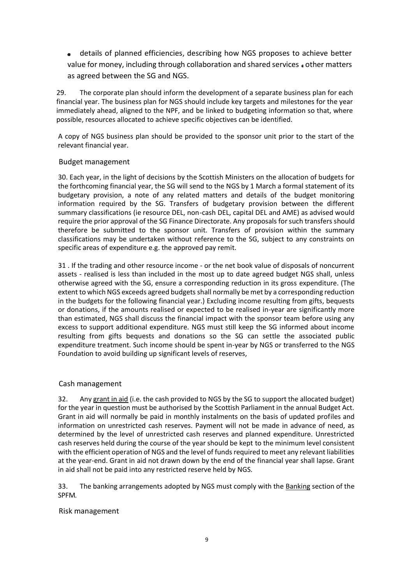details of planned efficiencies, describing how NGS proposes to achieve better value for money, including through collaboration and shared services other matters as agreed between the SG and NGS.

29. The corporate plan should inform the development of a separate business plan for each financial year. The business plan for NGS should include key targets and milestones for the year immediately ahead, aligned to the NPF, and be linked to budgeting information so that, where possible, resources allocated to achieve specific objectives can be identified.

A copy of NGS business plan should be provided to the sponsor unit prior to the start of the relevant financial year.

#### Budget management

30. Each year, in the light of decisions by the Scottish Ministers on the allocation of budgets for the forthcoming financial year, the SG will send to the NGS by 1 March a formal statement of its budgetary provision, a note of any related matters and details of the budget monitoring information required by the SG. Transfers of budgetary provision between the different summary classifications (ie resource DEL, non-cash DEL, capital DEL and AME) as advised would require the prior approval of the SG Finance Directorate. Any proposals for such transfers should therefore be submitted to the sponsor unit. Transfers of provision within the summary classifications may be undertaken without reference to the SG, subject to any constraints on specific areas of expenditure e.g. the approved pay remit.

31 . If the trading and other resource income - or the net book value of disposals of noncurrent assets - realised is less than included in the most up to date agreed budget NGS shall, unless otherwise agreed with the SG, ensure a corresponding reduction in its gross expenditure. (The extent to which NGS exceeds agreed budgets shall normally be met by a corresponding reduction in the budgets for the following financial year.) Excluding income resulting from gifts, bequests or donations, if the amounts realised or expected to be realised in-year are significantly more than estimated, NGS shall discuss the financial impact with the sponsor team before using any excess to support additional expenditure. NGS must still keep the SG informed about income resulting from gifts bequests and donations so the SG can settle the associated public expenditure treatment. Such income should be spent in-year by NGS or transferred to the NGS Foundation to avoid building up significant levels of reserves,

#### Cash management

32. Any grant in aid (i.e. the cash provided to NGS by the SG to support the allocated budget) for the year in question must be authorised by the Scottish Parliament in the annual Budget Act. Grant in aid will normally be paid in monthly instalments on the basis of updated profiles and information on unrestricted cash reserves. Payment will not be made in advance of need, as determined by the level of unrestricted cash reserves and planned expenditure. Unrestricted cash reserves held during the course of the year should be kept to the minimum level consistent with the efficient operation of NGS and the level of funds required to meet any relevant liabilities at the year-end. Grant in aid not drawn down by the end of the financial year shall lapse. Grant in aid shall not be paid into any restricted reserve held by NGS.

33. The banking arrangements adopted by NGS must comply with the Banking section of the SPFM

Risk management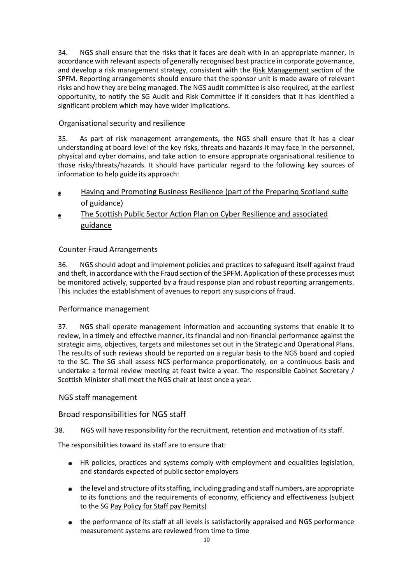34. NGS shall ensure that the risks that it faces are dealt with in an appropriate manner, in accordance with relevant aspects of generally recognised best practice in corporate governance, and develop a risk management strategy, consistent with the Risk Management section of the SPFM. Reporting arrangements should ensure that the sponsor unit is made aware of relevant risks and how they are being managed. The NGS audit committee is also required, at the earliest opportunity, to notify the SG Audit and Risk Committee if it considers that it has identified a significant problem which may have wider implications.

# Organisational security and resilience

35. As part of risk management arrangements, the NGS shall ensure that it has a clear understanding at board level of the key risks, threats and hazards it may face in the personnel, physical and cyber domains, and take action to ensure appropriate organisational resilience to those risks/threats/hazards. It should have particular regard to the following key sources of information to help guide its approach:

- Havinq and Promoting Business Resilience (part of the Preparinq Scotland suite  $\bullet$ of guidance)
- The Scottish Public Sector Action Plan on Cyber Resilience and associated  $\bullet$ guidance

# Counter Fraud Arrangements

36. NGS should adopt and implement policies and practices to safeguard itself against fraud and theft, in accordance with the **Fraud** section of the SPFM. Application of these processes must be monitored actively, supported by a fraud response plan and robust reporting arrangements. This includes the establishment of avenues to report any suspicions of fraud.

## Performance management

37. NGS shall operate management information and accounting systems that enable it to review, in a timely and effective manner, its financial and non-financial performance against the strategic aims, objectives, targets and milestones set out in the Strategic and Operational Plans. The results of such reviews should be reported on a regular basis to the NGS board and copied to the SC. The SG shall assess NCS performance proportionately, on a continuous basis and undertake a formal review meeting at feast twice a year. The responsible Cabinet Secretary / Scottish Minister shall meet the NGS chair at least once a year.

## NGS staff management

## Broad responsibilities for NGS staff

## 38. NGS will have responsibility for the recruitment, retention and motivation of its staff.

The responsibilities toward its staff are to ensure that:

- HR policies, practices and systems comply with employment and equalities legislation, and standards expected of public sector employers
- the level and structure of its staffing, including grading and staff numbers, are appropriate to its functions and the requirements of economy, efficiency and effectiveness (subject to the SG Pay Policy for Staff pay Remits)
- the performance of its staff at all levels is satisfactorily appraised and NGS performance measurement systems are reviewed from time to time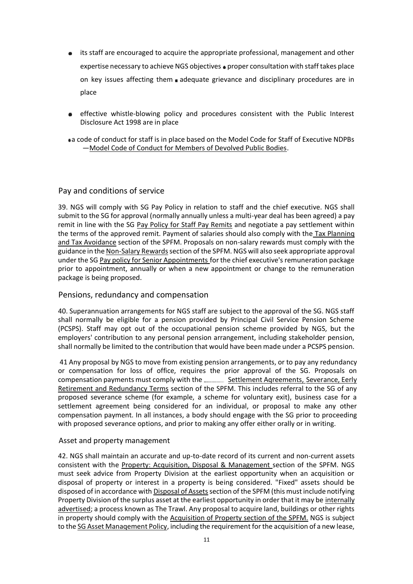- its staff are encouraged to acquire the appropriate professional, management and other expertise necessary to achieve NGS objectives proper consultation with staff takes place on key issues affecting them adequate grievance and disciplinary procedures are in place
- effective whistle-blowing policy and procedures consistent with the Public Interest  $\bullet$ Disclosure Act 1998 are in place

a code of conduct for staff is in place based on the Model Code for Staff of Executive NDPBs —Model Code of Conduct for Members of Devolved Public Bodies.

## Pay and conditions of service

39. NGS will comply with SG Pay Policy in relation to staff and the chief executive. NGS shall submit to the SG for approval (normally annually unless a multi-year deal has been agreed) a pay remit in line with the SG Pay Policy for Staff Pay Remits and negotiate a pay settlement within the terms of the approved remit. Payment of salaries should also comply with the Tax Planninq and Tax Avoidance section of the SPFM. Proposals on non-salary rewards must comply with the guidance in the Non-Salary Rewards section of the SPFM. NGS will also seek appropriate approval under the SG Pay policy for Senior Appointments for the chief executive's remuneration package prior to appointment, annually or when a new appointment or change to the remuneration package is being proposed.

#### Pensions, redundancy and compensation

40. Superannuation arrangements for NGS staff are subject to the approval of the SG. NGS staff shall normally be eligible for a pension provided by Principal Civil Service Pension Scheme (PCSPS). Staff may opt out of the occupational pension scheme provided by NGS, but the employers' contribution to any personal pension arrangement, including stakeholder pension, shall normally be limited to the contribution that would have been made under a PCSPS pension.

41 Any proposal by NGS to move from existing pension arrangements, or to pay any redundancy or compensation for loss of office, requires the prior approval of the SG. Proposals on compensation payments must comply with the Settlement Aqreements, Severance, Eerly Retirement and Redundancy Terms section of the SPFM. This includes referral to the SG of any proposed severance scheme (for example, a scheme for voluntary exit), business case for a settlement agreement being considered for an individual, or proposal to make any other compensation payment. In all instances, a body should engage with the SG prior to proceeding with proposed severance options, and prior to making any offer either orally or in writing.

#### Asset and property management

42. NGS shall maintain an accurate and up-to-date record of its current and non-current assets consistent with the Property: Acquisition, Disposal & Management section of the SPFM. NGS must seek advice from Property Division at the earliest opportunity when an acquisition or disposal of property or interest in a property is being considered. "Fixed" assets should be disposed of in accordance with Disposal of Assets section of the SPFM (this must include notifying Property Division of the surplus asset at the earliest opportunity in order that it may be internally advertised; a process known as The Trawl. Any proposal to acquire land, buildings or other rights in property should comply with the Acquisition of Property section of the SPFM. NGS is subject to the SG Asset Management Policy, including the requirement for the acquisition of a new lease,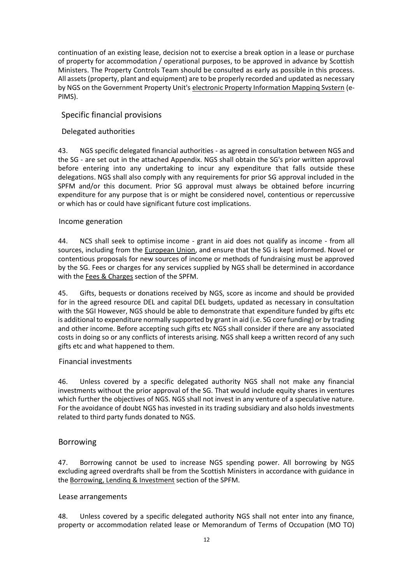continuation of an existing lease, decision not to exercise a break option in a lease or purchase of property for accommodation / operational purposes, to be approved in advance by Scottish Ministers. The Property Controls Team should be consulted as early as possible in this process. All assets (property, plant and equipment) are to be properly recorded and updated as necessary by NGS on the Government Property Unit's electronic Property Information Mappinq Svstern (e-PIMS).

# Specific financial provisions

## Delegated authorities

43. NGS specific delegated financial authorities - as agreed in consultation between NGS and the SG - are set out in the attached Appendix. NGS shall obtain the SG's prior written approval before entering into any undertaking to incur any expenditure that falls outside these delegations. NGS shall also comply with any requirements for prior SG approval included in the SPFM and/or this document. Prior SG approval must always be obtained before incurring expenditure for any purpose that is or might be considered novel, contentious or repercussive or which has or could have significant future cost implications.

#### Income generation

44. NCS shall seek to optimise income - grant in aid does not qualify as income - from all sources, including from the European Union, and ensure that the SG is kept informed. Novel or contentious proposals for new sources of income or methods of fundraising must be approved by the SG. Fees or charges for any services supplied by NGS shall be determined in accordance with the Fees & Charges section of the SPFM.

45. Gifts, bequests or donations received by NGS, score as income and should be provided for in the agreed resource DEL and capital DEL budgets, updated as necessary in consultation with the SGI However, NGS should be able to demonstrate that expenditure funded by gifts etc is additional to expenditure normally supported by grant in aid (i.e. SG core funding) or by trading and other income. Before accepting such gifts etc NGS shall consider if there are any associated costs in doing so or any conflicts of interests arising. NGS shall keep a written record of any such gifts etc and what happened to them.

#### Financial investments

46. Unless covered by a specific delegated authority NGS shall not make any financial investments without the prior approval of the SG. That would include equity shares in ventures which further the objectives of NGS. NGS shall not invest in any venture of a speculative nature. For the avoidance of doubt NGS has invested in its trading subsidiary and also holds investments related to third party funds donated to NGS.

## Borrowing

47. Borrowing cannot be used to increase NGS spending power. All borrowing by NGS excluding agreed overdrafts shall be from the Scottish Ministers in accordance with guidance in the Borrowing, Lendinq & Investment section of the SPFM.

#### Lease arrangements

48. Unless covered by a specific delegated authority NGS shall not enter into any finance, property or accommodation related lease or Memorandum of Terms of Occupation (MO TO)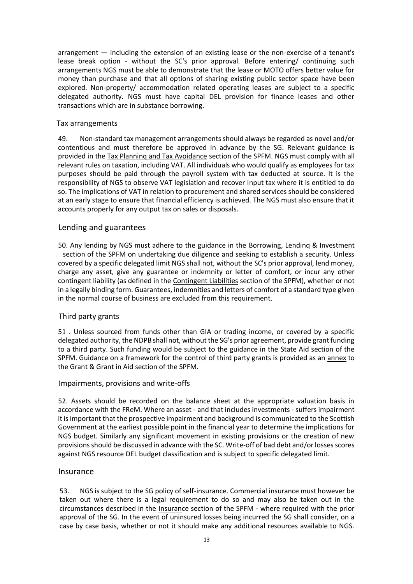arrangement — including the extension of an existing lease or the non-exercise of a tenant's lease break option - without the SC's prior approval. Before entering/ continuing such arrangements NGS must be able to demonstrate that the lease or MOTO offers better value for money than purchase and that all options of sharing existing public sector space have been explored. Non-property/ accommodation related operating leases are subject to a specific delegated authority. NGS must have capital DEL provision for finance leases and other transactions which are in substance borrowing.

#### Tax arrangements

49. Non-standard tax management arrangements should always be regarded as novel and/or contentious and must therefore be approved in advance by the SG. Relevant guidance is provided in the Tax Planninq and Tax Avoidance section of the SPFM. NGS must comply with all relevant rules on taxation, including VAT. All individuals who would qualify as employees for tax purposes should be paid through the payroll system with tax deducted at source. It is the responsibility of NGS to observe VAT legislation and recover input tax where it is entitled to do so. The implications of VAT in relation to procurement and shared services should be considered at an early stage to ensure that financial efficiency is achieved. The NGS must also ensure that it accounts properly for any output tax on sales or disposals.

### Lending and guarantees

50. Any lending by NGS must adhere to the guidance in the Borrowing, Lending & Investment section of the SPFM on undertaking due diligence and seeking to establish a security. Unless covered by a specific delegated limit NGS shall not, without the SC's prior approval, lend money, charge any asset, give any guarantee or indemnity or letter of comfort, or incur any other contingent liability (as defined in the Contingent Liabilities section of the SPFM), whether or not in a legally binding form. Guarantees, indemnities and letters of comfort of a standard type given in the normal course of business are excluded from this requirement.

#### Third party grants

51 . Unless sourced from funds other than GIA or trading income, or covered by a specific delegated authority, the NDPB shall not, without the SG's prior agreement, provide grant funding to a third party. Such funding would be subject to the guidance in the State Aid section of the SPFM. Guidance on a framework for the control of third party grants is provided as an annex to the Grant & Grant in Aid section of the SPFM.

#### Impairments, provisions and write-offs

52. Assets should be recorded on the balance sheet at the appropriate valuation basis in accordance with the FReM. Where an asset - and that includes investments - suffers impairment it is important that the prospective impairment and background is communicated to the Scottish Government at the earliest possible point in the financial year to determine the implications for NGS budget. Similarly any significant movement in existing provisions or the creation of new provisions should be discussed in advance with the SC. Write-off of bad debt and/or losses scores against NGS resource DEL budget classification and is subject to specific delegated limit.

#### Insurance

53. NGS is subject to the SG policy of self-insurance. Commercial insurance must however be taken out where there is a legal requirement to do so and may also be taken out in the circumstances described in the **Insurance section of the SPFM** - where required with the prior approval of the SG. In the event of uninsured losses being incurred the SG shall consider, on a case by case basis, whether or not it should make any additional resources available to NGS.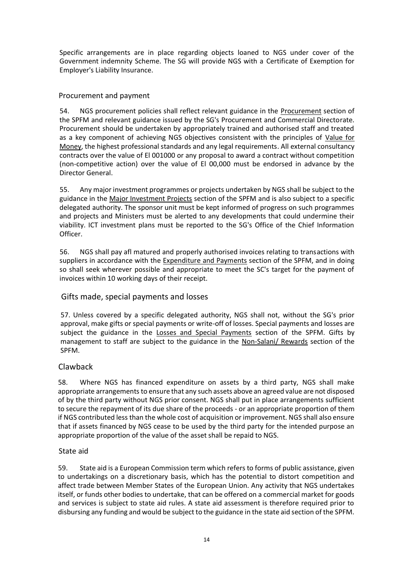Specific arrangements are in place regarding objects loaned to NGS under cover of the Government indemnity Scheme. The SG will provide NGS with a Certificate of Exemption for Employer's Liability Insurance.

## Procurement and payment

54. NGS procurement policies shall reflect relevant guidance in the Procurement section of the SPFM and relevant guidance issued by the SG's Procurement and Commercial Directorate. Procurement should be undertaken by appropriately trained and authorised staff and treated as a key component of achieving NGS objectives consistent with the principles of Value for Money, the highest professional standards and any legal requirements. All external consultancy contracts over the value of El 001000 or any proposal to award a contract without competition (non-competitive action) over the value of El 00,000 must be endorsed in advance by the Director General.

55. Any major investment programmes or projects undertaken by NGS shall be subject to the guidance in the Major Investment Projects section of the SPFM and is also subject to a specific delegated authority. The sponsor unit must be kept informed of progress on such programmes and projects and Ministers must be alerted to any developments that could undermine their viability. ICT investment plans must be reported to the SG's Office of the Chief Information Officer.

56. NGS shall pay afl matured and properly authorised invoices relating to transactions with suppliers in accordance with the Expenditure and Payments section of the SPFM, and in doing so shall seek wherever possible and appropriate to meet the SC's target for the payment of invoices within 10 working days of their receipt.

# Gifts made, special payments and losses

57. Unless covered by a specific delegated authority, NGS shall not, without the SG's prior approval, make gifts or special payments or write-off of losses. Special payments and losses are subject the guidance in the Losses and Special Payments section of the SPFM. Gifts by management to staff are subject to the guidance in the Non-Salani/ Rewards section of the SPFM.

# Clawback

58. Where NGS has financed expenditure on assets by a third party, NGS shall make appropriate arrangements to ensure that any such assets above an agreed value are not disposed of by the third party without NGS prior consent. NGS shall put in place arrangements sufficient to secure the repayment of its due share of the proceeds - or an appropriate proportion of them if NGS contributed less than the whole cost of acquisition or improvement. NGS shall also ensure that if assets financed by NGS cease to be used by the third party for the intended purpose an appropriate proportion of the value of the asset shall be repaid to NGS.

## State aid

59. State aid is a European Commission term which refers to forms of public assistance, given to undertakings on a discretionary basis, which has the potential to distort competition and affect trade between Member States of the European Union. Any activity that NGS undertakes itself, or funds other bodies to undertake, that can be offered on a commercial market for goods and services is subject to state aid rules. A state aid assessment is therefore required prior to disbursing any funding and would be subject to the guidance in the state aid section of the SPFM.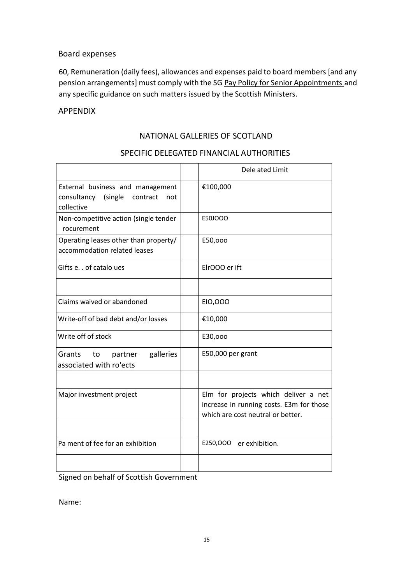# Board expenses

60, Remuneration (daily fees), allowances and expenses paid to board members [and any pension arrangements] must comply with the SG Pay Policy for Senior Appointments and any specific guidance on such matters issued by the Scottish Ministers.

# APPENDIX

# NATIONAL GALLERIES OF SCOTLAND

|                                                                                          | Dele ated Limit                                                                                                       |
|------------------------------------------------------------------------------------------|-----------------------------------------------------------------------------------------------------------------------|
| External business and management<br>consultancy (single<br>contract<br>not<br>collective | €100,000                                                                                                              |
| Non-competitive action (single tender<br>rocurement                                      | E50JOOO                                                                                                               |
| Operating leases other than property/<br>accommodation related leases                    | E50,000                                                                                                               |
| Gifts e. . of catalo ues                                                                 | ElrOOO er ift                                                                                                         |
|                                                                                          |                                                                                                                       |
| Claims waived or abandoned                                                               | EI0,000                                                                                                               |
| Write-off of bad debt and/or losses                                                      | €10,000                                                                                                               |
| Write off of stock                                                                       | E30,000                                                                                                               |
| galleries<br>Grants to<br>partner<br>associated with ro'ects                             | E50,000 per grant                                                                                                     |
|                                                                                          |                                                                                                                       |
| Major investment project                                                                 | Elm for projects which deliver a net<br>increase in running costs. E3m for those<br>which are cost neutral or better. |
|                                                                                          |                                                                                                                       |
| Pa ment of fee for an exhibition                                                         | E250,000 er exhibition.                                                                                               |
|                                                                                          |                                                                                                                       |

## SPECIFIC DELEGATED FINANCIAL AUTHORITIES

Signed on behalf of Scottish Government

Name: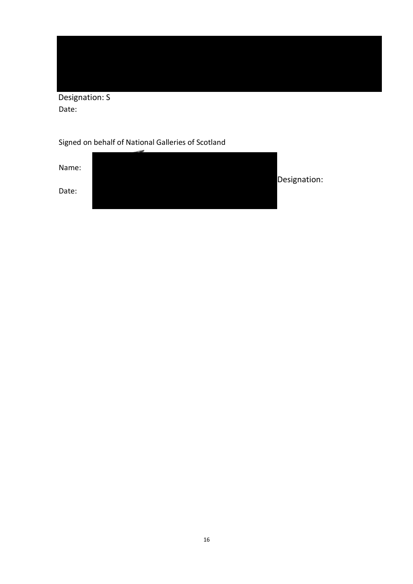Designation: S Date:

Signed on behalf of National Galleries of Scotland

Name: Designation: Date: